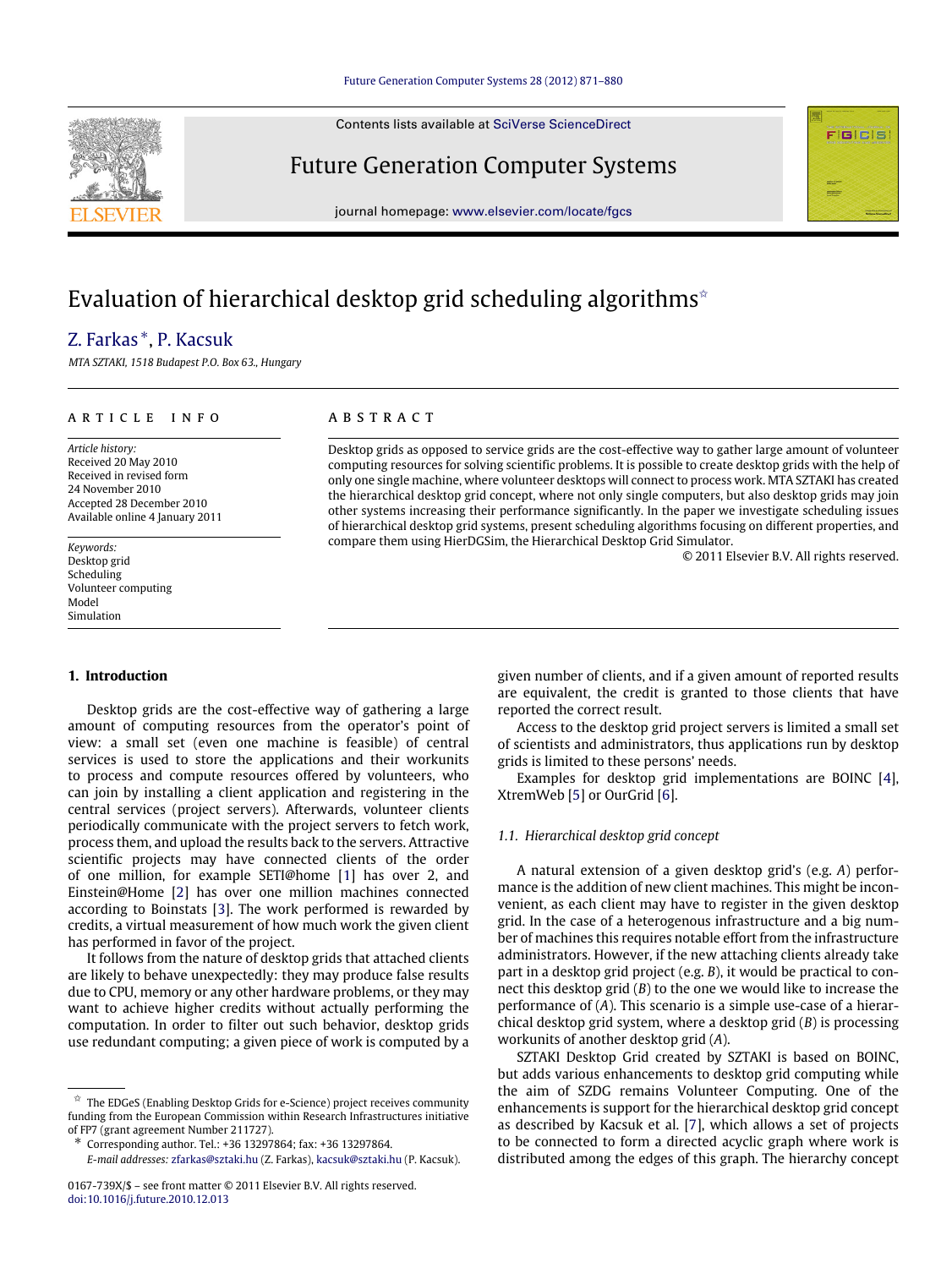## [Future Generation Computer Systems 28 \(2012\) 871–880](http://dx.doi.org/10.1016/j.future.2010.12.013)

Contents lists available at [SciVerse ScienceDirect](http://www.elsevier.com/locate/fgcs)

# Future Generation Computer Systems

journal homepage: [www.elsevier.com/locate/fgcs](http://www.elsevier.com/locate/fgcs)

# Evaluation of hierarchical desktop grid scheduling algorithms<sup> $\hat{z}$ </sup>

# [Z. Farkas](#page--1-0) [∗](#page-0-1) , [P. Kacsuk](#page--1-1)

*MTA SZTAKI, 1518 Budapest P.O. Box 63., Hungary*

## ARTICLE INFO

*Article history:* Received 20 May 2010 Received in revised form 24 November 2010 Accepted 28 December 2010 Available online 4 January 2011

*Keywords:* Desktop grid Scheduling Volunteer computing Model Simulation

# **1. Introduction**

Desktop grids are the cost-effective way of gathering a large amount of computing resources from the operator's point of view: a small set (even one machine is feasible) of central services is used to store the applications and their workunits to process and compute resources offered by volunteers, who can join by installing a client application and registering in the central services (project servers). Afterwards, volunteer clients periodically communicate with the project servers to fetch work, process them, and upload the results back to the servers. Attractive scientific projects may have connected clients of the order of one million, for example SETI@home [\[1\]](#page--1-2) has over 2, and Einstein@Home [\[2\]](#page--1-3) has over one million machines connected according to Boinstats [\[3\]](#page--1-4). The work performed is rewarded by credits, a virtual measurement of how much work the given client has performed in favor of the project.

It follows from the nature of desktop grids that attached clients are likely to behave unexpectedly: they may produce false results due to CPU, memory or any other hardware problems, or they may want to achieve higher credits without actually performing the computation. In order to filter out such behavior, desktop grids use redundant computing; a given piece of work is computed by a

<span id="page-0-1"></span>∗ Corresponding author. Tel.: +36 13297864; fax: +36 13297864.

*E-mail addresses:* [zfarkas@sztaki.hu](mailto:zfarkas@sztaki.hu) (Z. Farkas), [kacsuk@sztaki.hu](mailto:kacsuk@sztaki.hu) (P. Kacsuk).

# A B S T R A C T

Desktop grids as opposed to service grids are the cost-effective way to gather large amount of volunteer computing resources for solving scientific problems. It is possible to create desktop grids with the help of only one single machine, where volunteer desktops will connect to process work. MTA SZTAKI has created the hierarchical desktop grid concept, where not only single computers, but also desktop grids may join other systems increasing their performance significantly. In the paper we investigate scheduling issues of hierarchical desktop grid systems, present scheduling algorithms focusing on different properties, and compare them using HierDGSim, the Hierarchical Desktop Grid Simulator.

© 2011 Elsevier B.V. All rights reserved.

**F**IGICIS

given number of clients, and if a given amount of reported results are equivalent, the credit is granted to those clients that have reported the correct result.

Access to the desktop grid project servers is limited a small set of scientists and administrators, thus applications run by desktop grids is limited to these persons' needs.

Examples for desktop grid implementations are BOINC [\[4\]](#page--1-5), XtremWeb [\[5\]](#page--1-6) or OurGrid [\[6\]](#page--1-7).

### *1.1. Hierarchical desktop grid concept*

A natural extension of a given desktop grid's (e.g. *A*) performance is the addition of new client machines. This might be inconvenient, as each client may have to register in the given desktop grid. In the case of a heterogenous infrastructure and a big number of machines this requires notable effort from the infrastructure administrators. However, if the new attaching clients already take part in a desktop grid project (e.g. *B*), it would be practical to connect this desktop grid (*B*) to the one we would like to increase the performance of (*A*). This scenario is a simple use-case of a hierarchical desktop grid system, where a desktop grid (*B*) is processing workunits of another desktop grid (*A*).

SZTAKI Desktop Grid created by SZTAKI is based on BOINC, but adds various enhancements to desktop grid computing while the aim of SZDG remains Volunteer Computing. One of the enhancements is support for the hierarchical desktop grid concept as described by Kacsuk et al. [\[7\]](#page--1-8), which allows a set of projects to be connected to form a directed acyclic graph where work is distributed among the edges of this graph. The hierarchy concept



<span id="page-0-0"></span> $^\star\,$  The EDGeS (Enabling Desktop Grids for e-Science) project receives community funding from the European Commission within Research Infrastructures initiative of FP7 (grant agreement Number 211727).

<sup>0167-739</sup>X/\$ – see front matter © 2011 Elsevier B.V. All rights reserved. [doi:10.1016/j.future.2010.12.013](http://dx.doi.org/10.1016/j.future.2010.12.013)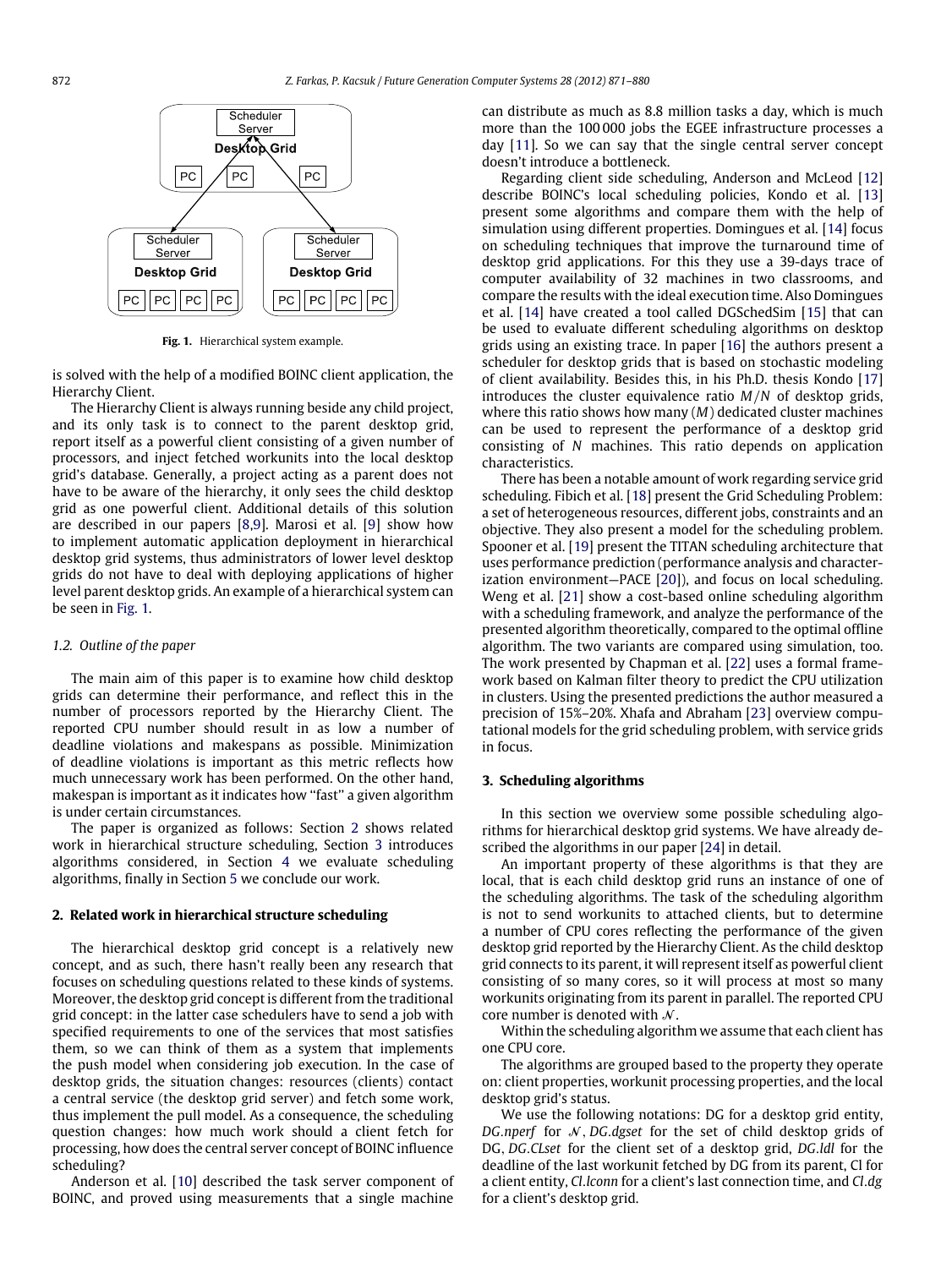<span id="page-1-0"></span>

**Fig. 1.** Hierarchical system example.

is solved with the help of a modified BOINC client application, the Hierarchy Client.

The Hierarchy Client is always running beside any child project, and its only task is to connect to the parent desktop grid, report itself as a powerful client consisting of a given number of processors, and inject fetched workunits into the local desktop grid's database. Generally, a project acting as a parent does not have to be aware of the hierarchy, it only sees the child desktop grid as one powerful client. Additional details of this solution are described in our papers [\[8](#page--1-9)[,9\]](#page--1-10). Marosi et al. [\[9\]](#page--1-10) show how to implement automatic application deployment in hierarchical desktop grid systems, thus administrators of lower level desktop grids do not have to deal with deploying applications of higher level parent desktop grids. An example of a hierarchical system can be seen in [Fig. 1.](#page-1-0)

#### *1.2. Outline of the paper*

The main aim of this paper is to examine how child desktop grids can determine their performance, and reflect this in the number of processors reported by the Hierarchy Client. The reported CPU number should result in as low a number of deadline violations and makespans as possible. Minimization of deadline violations is important as this metric reflects how much unnecessary work has been performed. On the other hand, makespan is important as it indicates how "fast" a given algorithm is under certain circumstances.

The paper is organized as follows: Section [2](#page-1-1) shows related work in hierarchical structure scheduling, Section [3](#page-1-2) introduces algorithms considered, in Section [4](#page--1-11) we evaluate scheduling algorithms, finally in Section [5](#page--1-12) we conclude our work.

## <span id="page-1-1"></span>**2. Related work in hierarchical structure scheduling**

The hierarchical desktop grid concept is a relatively new concept, and as such, there hasn't really been any research that focuses on scheduling questions related to these kinds of systems. Moreover, the desktop grid concept is different from the traditional grid concept: in the latter case schedulers have to send a job with specified requirements to one of the services that most satisfies them, so we can think of them as a system that implements the push model when considering job execution. In the case of desktop grids, the situation changes: resources (clients) contact a central service (the desktop grid server) and fetch some work, thus implement the pull model. As a consequence, the scheduling question changes: how much work should a client fetch for processing, how does the central server concept of BOINC influence scheduling?

Anderson et al. [\[10\]](#page--1-13) described the task server component of BOINC, and proved using measurements that a single machine can distribute as much as 8.8 million tasks a day, which is much more than the 100 000 jobs the EGEE infrastructure processes a day [\[11\]](#page--1-14). So we can say that the single central server concept doesn't introduce a bottleneck.

Regarding client side scheduling, Anderson and McLeod [\[12\]](#page--1-15) describe BOINC's local scheduling policies, Kondo et al. [\[13\]](#page--1-16) present some algorithms and compare them with the help of simulation using different properties. Domingues et al. [\[14\]](#page--1-17) focus on scheduling techniques that improve the turnaround time of desktop grid applications. For this they use a 39-days trace of computer availability of 32 machines in two classrooms, and compare the results with the ideal execution time. Also Domingues et al. [\[14\]](#page--1-17) have created a tool called DGSchedSim [\[15\]](#page--1-18) that can be used to evaluate different scheduling algorithms on desktop grids using an existing trace. In paper [\[16\]](#page--1-19) the authors present a scheduler for desktop grids that is based on stochastic modeling of client availability. Besides this, in his Ph.D. thesis Kondo [\[17\]](#page--1-20) introduces the cluster equivalence ratio *M*/*N* of desktop grids, where this ratio shows how many (*M*) dedicated cluster machines can be used to represent the performance of a desktop grid consisting of *N* machines. This ratio depends on application characteristics.

There has been a notable amount of work regarding service grid scheduling. Fibich et al. [\[18\]](#page--1-21) present the Grid Scheduling Problem: a set of heterogeneous resources, different jobs, constraints and an objective. They also present a model for the scheduling problem. Spooner et al. [\[19\]](#page--1-22) present the TITAN scheduling architecture that uses performance prediction (performance analysis and characterization environment—PACE [\[20\]](#page--1-23)), and focus on local scheduling. Weng et al. [\[21\]](#page--1-24) show a cost-based online scheduling algorithm with a scheduling framework, and analyze the performance of the presented algorithm theoretically, compared to the optimal offline algorithm. The two variants are compared using simulation, too. The work presented by Chapman et al. [\[22\]](#page--1-25) uses a formal framework based on Kalman filter theory to predict the CPU utilization in clusters. Using the presented predictions the author measured a precision of 15%–20%. Xhafa and Abraham [\[23\]](#page--1-26) overview computational models for the grid scheduling problem, with service grids in focus.

### <span id="page-1-2"></span>**3. Scheduling algorithms**

In this section we overview some possible scheduling algorithms for hierarchical desktop grid systems. We have already described the algorithms in our paper [\[24\]](#page--1-27) in detail.

An important property of these algorithms is that they are local, that is each child desktop grid runs an instance of one of the scheduling algorithms. The task of the scheduling algorithm is not to send workunits to attached clients, but to determine a number of CPU cores reflecting the performance of the given desktop grid reported by the Hierarchy Client. As the child desktop grid connects to its parent, it will represent itself as powerful client consisting of so many cores, so it will process at most so many workunits originating from its parent in parallel. The reported CPU core number is denoted with  $\mathcal{N}$ .

Within the scheduling algorithm we assume that each client has one CPU core.

The algorithms are grouped based to the property they operate on: client properties, workunit processing properties, and the local desktop grid's status.

We use the following notations: DG for a desktop grid entity, *DG.nperf* for N, *DG.dgset* for the set of child desktop grids of DG, *DG*.*CLset* for the client set of a desktop grid, *DG*.*ldl* for the deadline of the last workunit fetched by DG from its parent, Cl for a client entity, *Cl*.*lconn* for a client's last connection time, and *Cl*.*dg* for a client's desktop grid.